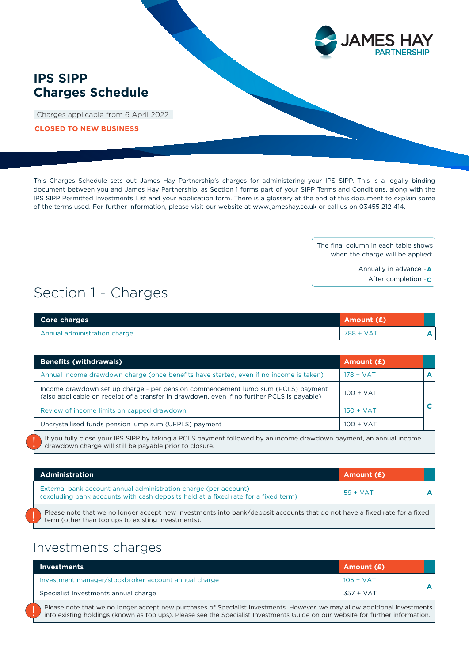

## **IPS SIPP Charges Schedule**

Charges applicable from 6 April 2022

**CLOSED TO NEW BUSINESS**

This Charges Schedule sets out James Hay Partnership's charges for administering your IPS SIPP. This is a legally binding document between you and James Hay Partnership, as Section 1 forms part of your SIPP Terms and Conditions, along with the IPS SIPP Permitted Investments List and your application form. There is a glossary at the end of this document to explain some of the terms used. For further information, please visit our website at www.jameshay.co.uk or call us on 03455 212 414.

> The final column in each table shows when the charge will be applied:

> > Annually in advance - **A**

After completion - **C**

# Section 1 - Charges

| <b>Core charges</b>          | Amount (£) |  |
|------------------------------|------------|--|
| Annual administration charge | 788 + VAT  |  |

| <b>Benefits (withdrawals)</b>                                                                                                                                                                                                        | Amount (£)  |   |
|--------------------------------------------------------------------------------------------------------------------------------------------------------------------------------------------------------------------------------------|-------------|---|
| Annual income drawdown charge (once benefits have started, even if no income is taken)                                                                                                                                               | $178 + VAT$ |   |
| Income drawdown set up charge - per pension commencement lump sum (PCLS) payment<br>(also applicable on receipt of a transfer in drawdown, even if no further PCLS is payable)                                                       | $100 + VAT$ |   |
| Review of income limits on capped drawdown                                                                                                                                                                                           | $150 + VAT$ | C |
| Uncrystallised funds pension lump sum (UFPLS) payment                                                                                                                                                                                | $100 + VAT$ |   |
| <u>If your fulling the computer of clips and contract contract the contract of the second computer of the contract the contract of the contract of the contract of the contract of the contract of the contract of the contract </u> |             |   |

If you fully close your IPS SIPP by taking a PCLS payment followed by an income drawdown payment, an annual income drawdown charge will still be payable prior to closure.

| <b>Administration</b>                                                                                                                                                           | Amount (£) |  |
|---------------------------------------------------------------------------------------------------------------------------------------------------------------------------------|------------|--|
| External bank account annual administration charge (per account)<br>(excluding bank accounts with cash deposits held at a fixed rate for a fixed term)                          | $59 + VAT$ |  |
| Please note that we no longer accept new investments into bank/deposit accounts that do not have a fixed rate for a fixed<br>term (other than top ups to existing investments). |            |  |

## Investments charges

| <b>Investments</b>                                                                                                                                                                                                                                           | Amount (£)  |  |
|--------------------------------------------------------------------------------------------------------------------------------------------------------------------------------------------------------------------------------------------------------------|-------------|--|
| Investment manager/stockbroker account annual charge                                                                                                                                                                                                         | $105 + VAT$ |  |
| Specialist Investments annual charge                                                                                                                                                                                                                         | 357 + VAT   |  |
| Please note that we no longer accept new purchases of Specialist Investments. However, we may allow additional investments<br>into existing holdings (known as top ups). Please see the Specialist Investments Guide on our website for further information. |             |  |

Please note that we no longer accept new purchases of Specialist Investments. However, we may allow additional investments into existing holdings (known as top ups). Please see the Specialist Investments Guide on our website for further information.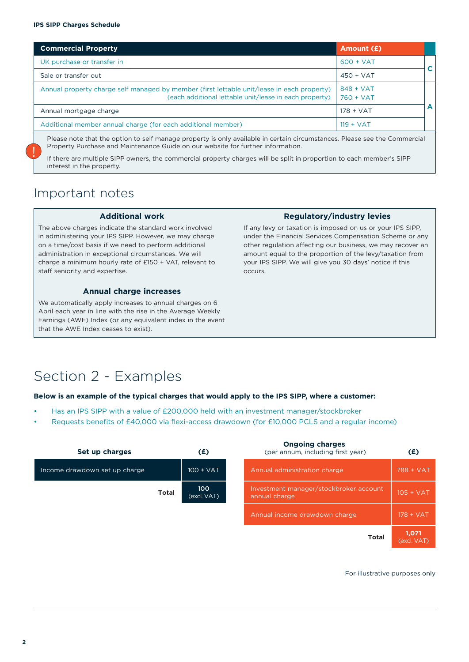| <b>Commercial Property</b>                                                                                                                           | Amount (£)                 |   |
|------------------------------------------------------------------------------------------------------------------------------------------------------|----------------------------|---|
| UK purchase or transfer in                                                                                                                           | $600 + VAT$                |   |
| Sale or transfer out                                                                                                                                 | $450 + VAT$                |   |
| Annual property charge self managed by member (first lettable unit/lease in each property)<br>(each additional lettable unit/lease in each property) | $848 + VAT$<br>$760 + VAT$ |   |
| Annual mortgage charge                                                                                                                               | $178 + VAT$                | A |
| Additional member annual charge (for each additional member)                                                                                         | $119 + VAT$                |   |
| Dlazes note that the option to self manage preparty is only available in sertain sixumstances. Please see the Commercial                             |                            |   |

elf manage property i Property Purchase and Maintenance Guide on our website for further information.

If there are multiple SIPP owners, the commercial property charges will be split in proportion to each member's SIPP interest in the property.

# Important notes

!<br>!

#### **Additional work**

The above charges indicate the standard work involved in administering your IPS SIPP. However, we may charge on a time/cost basis if we need to perform additional administration in exceptional circumstances. We will charge a minimum hourly rate of £150 + VAT, relevant to staff seniority and expertise.

### **Annual charge increases**

We automatically apply increases to annual charges on 6 April each year in line with the rise in the Average Weekly Earnings (AWE) Index (or any equivalent index in the event that the AWE Index ceases to exist).

#### **Regulatory/industry levies**

If any levy or taxation is imposed on us or your IPS SIPP, under the Financial Services Compensation Scheme or any other regulation affecting our business, we may recover an amount equal to the proportion of the levy/taxation from your IPS SIPP. We will give you 30 days' notice if this occurs.

# Section 2 - Examples

#### **Below is an example of the typical charges that would apply to the IPS SIPP, where a customer:**

- Has an IPS SIPP with a value of £200,000 held with an investment manager/stockbroker
- Requests benefits of £40,000 via flexi-access drawdown (for £10,000 PCLS and a regular income)

| Set up charges                | (£)                | <b>Ongoing charges</b><br>(per annum, including first year) | (E)                  |
|-------------------------------|--------------------|-------------------------------------------------------------|----------------------|
| Income drawdown set up charge | $100 + VAT$        | Annual administration charge                                | 788 + VAT            |
| <b>Total</b>                  | 100<br>(excl. VAT) | Investment manager/stockbroker account<br>annual charge     | $105 + VAT$          |
|                               |                    | Annual income drawdown charge                               | $178 + VAT$          |
|                               |                    | <b>Total</b>                                                | 1,071<br>(excl. VAT) |

For illustrative purposes only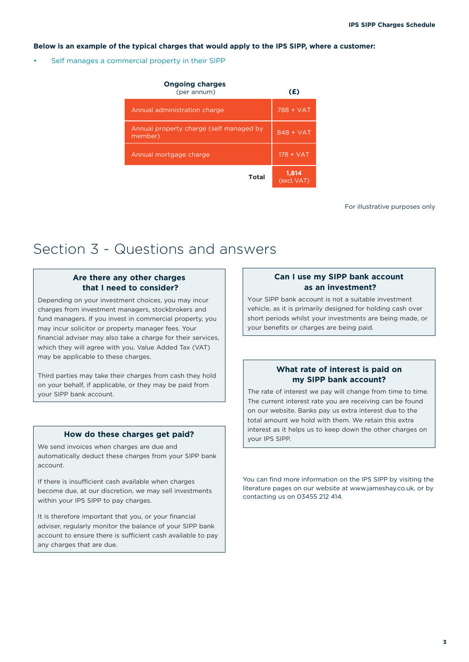#### **Below is an example of the typical charges that would apply to the IPS SIPP, where a customer:**

Self manages a commercial property in their SIPP

| <b>Ongoing charges</b><br>(per annum)              | (£)                  |
|----------------------------------------------------|----------------------|
| Annual administration charge                       | 788 + VAT            |
| Annual property charge (self managed by<br>member) | $848 + VAT$          |
| Annual mortgage charge                             | $178 + VAT$          |
| Total                                              | 1,814<br>(excl. VAT) |

For illustrative purposes only

# Section 3 - Questions and answers

## **Are there any other charges that I need to consider?**

Depending on your investment choices, you may incur charges from investment managers, stockbrokers and fund managers. If you invest in commercial property, you may incur solicitor or property manager fees. Your financial adviser may also take a charge for their services, which they will agree with you. Value Added Tax (VAT) may be applicable to these charges.

Third parties may take their charges from cash they hold on your behalf, if applicable, or they may be paid from your SIPP bank account.

### **How do these charges get paid?**

We send invoices when charges are due and automatically deduct these charges from your SIPP bank account.

If there is insufficient cash available when charges become due, at our discretion, we may sell investments within your IPS SIPP to pay charges.

It is therefore important that you, or your financial adviser, regularly monitor the balance of your SIPP bank account to ensure there is sufficient cash available to pay any charges that are due.

### **Can I use my SIPP bank account as an investment?**

Your SIPP bank account is not a suitable investment vehicle, as it is primarily designed for holding cash over short periods whilst your investments are being made, or your benefits or charges are being paid.

### **What rate of interest is paid on my SIPP bank account?**

The rate of interest we pay will change from time to time. The current interest rate you are receiving can be found on our website. Banks pay us extra interest due to the total amount we hold with them. We retain this extra interest as it helps us to keep down the other charges on your IPS SIPP.

You can find more information on the IPS SIPP by visiting the literature pages on our website at www.jameshay.co.uk, or by contacting us on 03455 212 414.